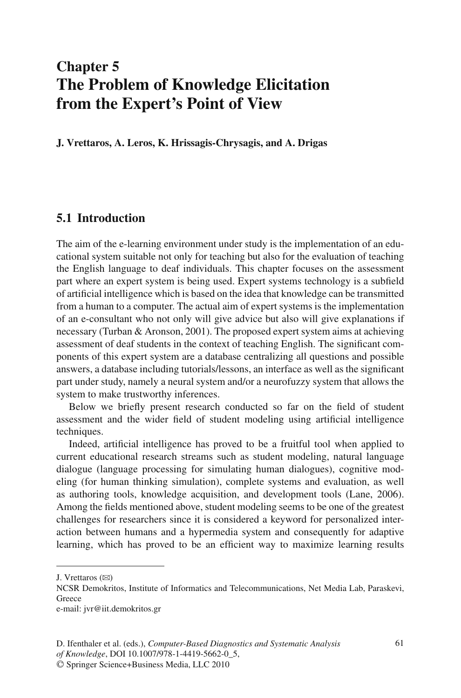# **Chapter 5 The Problem of Knowledge Elicitation from the Expert's Point of View**

**J. Vrettaros, A. Leros, K. Hrissagis-Chrysagis, and A. Drigas**

## **5.1 Introduction**

The aim of the e-learning environment under study is the implementation of an educational system suitable not only for teaching but also for the evaluation of teaching the English language to deaf individuals. This chapter focuses on the assessment part where an expert system is being used. Expert systems technology is a subfield of artificial intelligence which is based on the idea that knowledge can be transmitted from a human to a computer. The actual aim of expert systems is the implementation of an e-consultant who not only will give advice but also will give explanations if necessary (Turban & Aronson, [2001\)](#page-12-0). The proposed expert system aims at achieving assessment of deaf students in the context of teaching English. The significant components of this expert system are a database centralizing all questions and possible answers, a database including tutorials/lessons, an interface as well as the significant part under study, namely a neural system and/or a neurofuzzy system that allows the system to make trustworthy inferences.

Below we briefly present research conducted so far on the field of student assessment and the wider field of student modeling using artificial intelligence techniques.

Indeed, artificial intelligence has proved to be a fruitful tool when applied to current educational research streams such as student modeling, natural language dialogue (language processing for simulating human dialogues), cognitive modeling (for human thinking simulation), complete systems and evaluation, as well as authoring tools, knowledge acquisition, and development tools (Lane, [2006\)](#page-12-1). Among the fields mentioned above, student modeling seems to be one of the greatest challenges for researchers since it is considered a keyword for personalized interaction between humans and a hypermedia system and consequently for adaptive learning, which has proved to be an efficient way to maximize learning results

*of Knowledge*, DOI 10.1007/978-1-4419-5662-0\_5,

J. Vrettaros  $(\boxtimes)$ 

NCSR Demokritos, Institute of Informatics and Telecommunications, Net Media Lab, Paraskevi, Greece

e-mail: jvr@iit.demokritos.gr

D. Ifenthaler et al. (eds.), *Computer-Based Diagnostics and Systematic Analysis* 61

<sup>-</sup>C Springer Science+Business Media, LLC 2010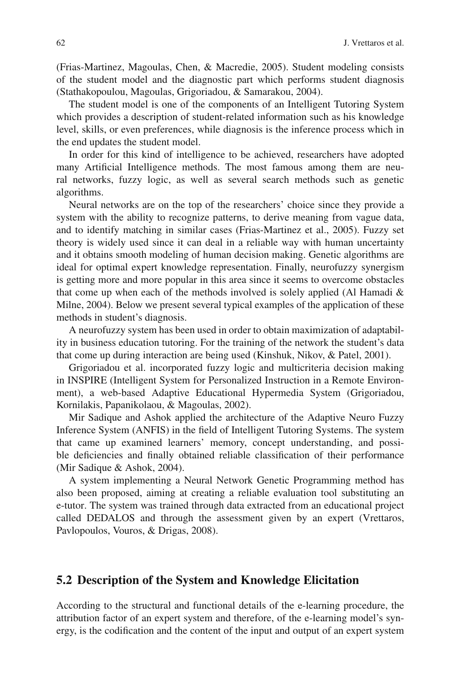(Frias-Martinez, Magoulas, Chen, & Macredie, [2005\)](#page-11-0). Student modeling consists of the student model and the diagnostic part which performs student diagnosis (Stathakopoulou, Magoulas, Grigoriadou, & Samarakou, [2004\)](#page-12-2).

The student model is one of the components of an Intelligent Tutoring System which provides a description of student-related information such as his knowledge level, skills, or even preferences, while diagnosis is the inference process which in the end updates the student model.

In order for this kind of intelligence to be achieved, researchers have adopted many Artificial Intelligence methods. The most famous among them are neural networks, fuzzy logic, as well as several search methods such as genetic algorithms.

Neural networks are on the top of the researchers' choice since they provide a system with the ability to recognize patterns, to derive meaning from vague data, and to identify matching in similar cases (Frias-Martinez et al., [2005\)](#page-11-0). Fuzzy set theory is widely used since it can deal in a reliable way with human uncertainty and it obtains smooth modeling of human decision making. Genetic algorithms are ideal for optimal expert knowledge representation. Finally, neurofuzzy synergism is getting more and more popular in this area since it seems to overcome obstacles that come up when each of the methods involved is solely applied (Al Hamadi & Milne, [2004\)](#page-11-1). Below we present several typical examples of the application of these methods in student's diagnosis.

A neurofuzzy system has been used in order to obtain maximization of adaptability in business education tutoring. For the training of the network the student's data that come up during interaction are being used (Kinshuk, Nikov, & Patel, [2001\)](#page-12-3).

Grigoriadou et al. incorporated fuzzy logic and multicriteria decision making in INSPIRE (Intelligent System for Personalized Instruction in a Remote Environment), a web-based Adaptive Educational Hypermedia System (Grigoriadou, Kornilakis, Papanikolaou, & Magoulas, [2002\)](#page-12-4).

Mir Sadique and Ashok applied the architecture of the Adaptive Neuro Fuzzy Inference System (ANFIS) in the field of Intelligent Tutoring Systems. The system that came up examined learners' memory, concept understanding, and possible deficiencies and finally obtained reliable classification of their performance (Mir Sadique & Ashok, 2004).

A system implementing a Neural Network Genetic Programming method has also been proposed, aiming at creating a reliable evaluation tool substituting an e-tutor. The system was trained through data extracted from an educational project called DEDALOS and through the assessment given by an expert (Vrettaros, Pavlopoulos, Vouros, & Drigas, [2008\)](#page-12-5).

#### **5.2 Description of the System and Knowledge Elicitation**

According to the structural and functional details of the e-learning procedure, the attribution factor of an expert system and therefore, of the e-learning model's synergy, is the codification and the content of the input and output of an expert system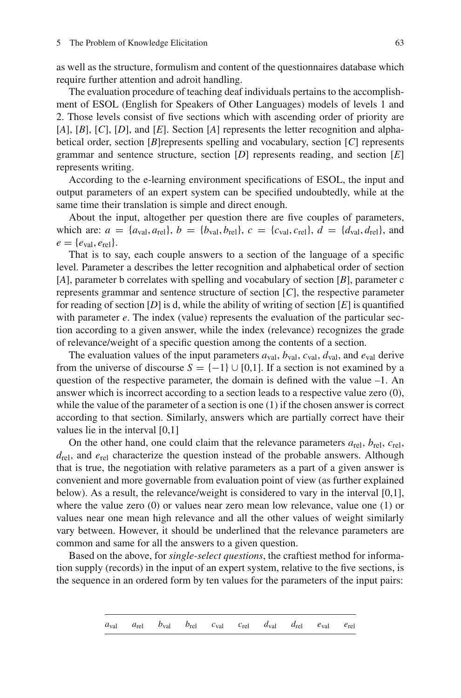as well as the structure, formulism and content of the questionnaires database which require further attention and adroit handling.

The evaluation procedure of teaching deaf individuals pertains to the accomplishment of ESOL (English for Speakers of Other Languages) models of levels 1 and 2. Those levels consist of five sections which with ascending order of priority are [*A*], [*B*], [*C*], [*D*], and [*E*]. Section [*A*] represents the letter recognition and alphabetical order, section [*B*]represents spelling and vocabulary, section [*C*] represents grammar and sentence structure, section [*D*] represents reading, and section [*E*] represents writing.

According to the e-learning environment specifications of ESOL, the input and output parameters of an expert system can be specified undoubtedly, while at the same time their translation is simple and direct enough.

About the input, altogether per question there are five couples of parameters, which are:  $a = \{a_{\text{val}}, a_{\text{rel}}\}, b = \{b_{\text{val}}, b_{\text{rel}}\}, c = \{c_{\text{val}}, c_{\text{rel}}\}, d = \{d_{\text{val}}, d_{\text{rel}}\},$  and  $e = \{e_{\text{val}}, e_{\text{rel}}\}.$ 

That is to say, each couple answers to a section of the language of a specific level. Parameter a describes the letter recognition and alphabetical order of section [*A*], parameter b correlates with spelling and vocabulary of section [*B*], parameter c represents grammar and sentence structure of section [*C*], the respective parameter for reading of section  $[D]$  is d, while the ability of writing of section  $[E]$  is quantified with parameter *e*. The index (value) represents the evaluation of the particular section according to a given answer, while the index (relevance) recognizes the grade of relevance/weight of a specific question among the contents of a section.

The evaluation values of the input parameters  $a_{\text{val}}$ ,  $b_{\text{val}}$ ,  $c_{\text{val}}$ ,  $d_{\text{val}}$ , and  $e_{\text{val}}$  derive from the universe of discourse  $S = \{-1\} \cup [0,1]$ . If a section is not examined by a question of the respective parameter, the domain is defined with the value  $-1$ . An answer which is incorrect according to a section leads to a respective value zero (0), while the value of the parameter of a section is one (1) if the chosen answer is correct according to that section. Similarly, answers which are partially correct have their values lie in the interval [0,1]

On the other hand, one could claim that the relevance parameters  $a_{rel}$ ,  $b_{rel}$ ,  $c_{rel}$ , *d*rel, and *e*rel characterize the question instead of the probable answers. Although that is true, the negotiation with relative parameters as a part of a given answer is convenient and more governable from evaluation point of view (as further explained below). As a result, the relevance/weight is considered to vary in the interval [0,1], where the value zero (0) or values near zero mean low relevance, value one (1) or values near one mean high relevance and all the other values of weight similarly vary between. However, it should be underlined that the relevance parameters are common and same for all the answers to a given question.

Based on the above, for *single-select questions*, the craftiest method for information supply (records) in the input of an expert system, relative to the five sections, is the sequence in an ordered form by ten values for the parameters of the input pairs: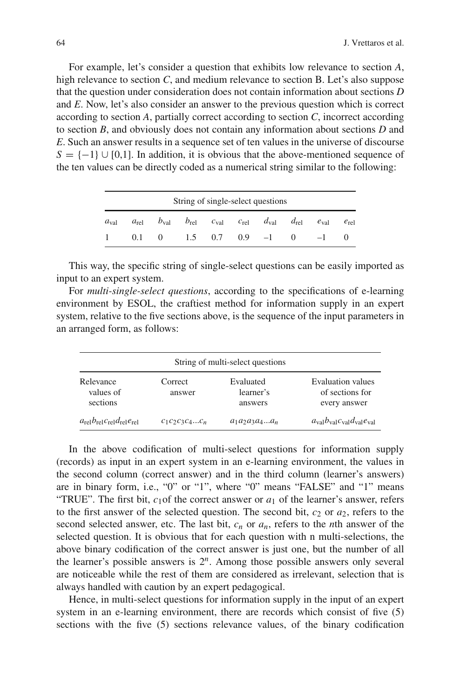For example, let's consider a question that exhibits low relevance to section *A*, high relevance to section *C*, and medium relevance to section B. Let's also suppose that the question under consideration does not contain information about sections *D* and *E*. Now, let's also consider an answer to the previous question which is correct according to section *A*, partially correct according to section *C*, incorrect according to section *B*, and obviously does not contain any information about sections *D* and *E*. Such an answer results in a sequence set of ten values in the universe of discourse  $S = \{-1\} \cup [0,1]$ . In addition, it is obvious that the above-mentioned sequence of the ten values can be directly coded as a numerical string similar to the following:

| String of single-select questions |           |                  |  |                               |  |                  |           |               |           |
|-----------------------------------|-----------|------------------|--|-------------------------------|--|------------------|-----------|---------------|-----------|
| a <sub>val</sub>                  | $a_{rel}$ | $b_{\text{val}}$ |  | $b_{rel}$ $c_{val}$ $c_{rel}$ |  | $d_{\text{val}}$ | $d_{rel}$ | $e_{\rm val}$ | $e_{rel}$ |
|                                   | 0.1       | $\Omega$         |  | $1.5 \t 0.7 \t 0.9 \t -1$     |  |                  | $\theta$  | — I           |           |

This way, the specific string of single-select questions can be easily imported as input to an expert system.

For *multi-single-select questions*, according to the specifications of e-learning environment by ESOL, the craftiest method for information supply in an expert system, relative to the five sections above, is the sequence of the input parameters in an arranged form, as follows:

| String of multi-select questions                          |                   |                                   |                                                                          |  |  |  |  |
|-----------------------------------------------------------|-------------------|-----------------------------------|--------------------------------------------------------------------------|--|--|--|--|
| Relevance<br>values of<br>sections                        | Correct<br>answer | Evaluated<br>learner's<br>answers | Evaluation values<br>of sections for<br>every answer                     |  |  |  |  |
| $a_{\rm rel}b_{\rm rel}c_{\rm rel}d_{\rm rel}e_{\rm rel}$ | $C_1C_2C_3C_4C_n$ | $a_1a_2a_3a_4a_n$                 | $a_{\text{val}}b_{\text{val}}c_{\text{val}}d_{\text{val}}e_{\text{val}}$ |  |  |  |  |

In the above codification of multi-select questions for information supply (records) as input in an expert system in an e-learning environment, the values in the second column (correct answer) and in the third column (learner's answers) are in binary form, i.e., "0" or "1", where "0" means "FALSE" and "1" means "TRUE". The first bit,  $c_1$  of the correct answer or  $a_1$  of the learner's answer, refers to the first answer of the selected question. The second bit,  $c_2$  or  $a_2$ , refers to the second selected answer, etc. The last bit,  $c_n$  or  $a_n$ , refers to the *n*th answer of the selected question. It is obvious that for each question with n multi-selections, the above binary codification of the correct answer is just one, but the number of all the learner's possible answers is  $2^n$ . Among those possible answers only several are noticeable while the rest of them are considered as irrelevant, selection that is always handled with caution by an expert pedagogical.

Hence, in multi-select questions for information supply in the input of an expert system in an e-learning environment, there are records which consist of five (5) sections with the five (5) sections relevance values, of the binary codification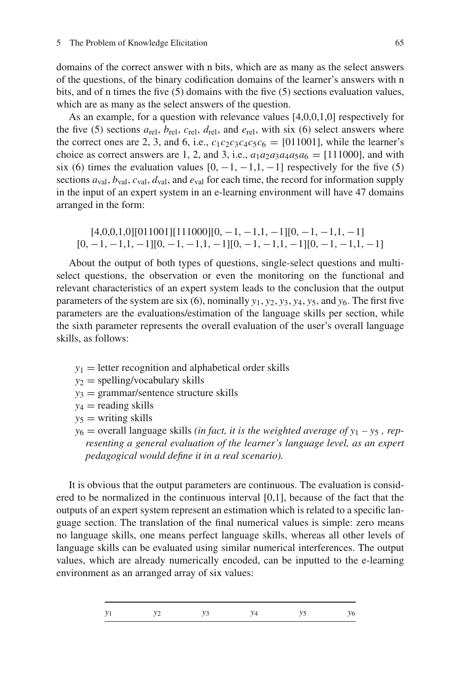domains of the correct answer with n bits, which are as many as the select answers of the questions, of the binary codification domains of the learner's answers with n bits, and of n times the five (5) domains with the five (5) sections evaluation values, which are as many as the select answers of the question.

As an example, for a question with relevance values [4,0,0,1,0] respectively for the five (5) sections  $a_{rel}$ ,  $b_{rel}$ ,  $c_{rel}$ ,  $d_{rel}$ , and  $e_{rel}$ , with six (6) select answers where the correct ones are 2, 3, and 6, i.e.,  $c_1c_2c_3c_4c_5c_6 = [011001]$ , while the learner's choice as correct answers are 1, 2, and 3, i.e.,  $a_1a_2a_3a_4a_5a_6 = [111000]$ , and with six (6) times the evaluation values  $[0, -1, -1, 1, -1]$  respectively for the five (5) sections  $a_{\text{val}}$ ,  $b_{\text{val}}$ ,  $c_{\text{val}}$ ,  $d_{\text{val}}$ , and  $e_{\text{val}}$  for each time, the record for information supply in the input of an expert system in an e-learning environment will have 47 domains arranged in the form:

$$
[4,0,0,1,0][011001][111000][0,-1,-1,1,-1][0,-1,-1,1,-1]
$$
  

$$
[0,-1,-1,1,-1][0,-1,-1,1,-1][0,-1,-1,1,-1][0,-1,-1,1,-1]
$$

About the output of both types of questions, single-select questions and multiselect questions, the observation or even the monitoring on the functional and relevant characteristics of an expert system leads to the conclusion that the output parameters of the system are six (6), nominally  $y_1$ ,  $y_2$ ,  $y_3$ ,  $y_4$ ,  $y_5$ , and  $y_6$ . The first five parameters are the evaluations/estimation of the language skills per section, while the sixth parameter represents the overall evaluation of the user's overall language skills, as follows:

- $y_1$  = letter recognition and alphabetical order skills
- $y_2$  = spelling/vocabulary skills
- $y_3$  = grammar/sentence structure skills
- $y_4$  = reading skills
- $y_5$  = writing skills
- $y_6$  = overall language skills *(in fact, it is the weighted average of*  $y_1 y_5$ , *representing a general evaluation of the learner's language level, as an expert pedagogical would define it in a real scenario).*

It is obvious that the output parameters are continuous. The evaluation is considered to be normalized in the continuous interval [0,1], because of the fact that the outputs of an expert system represent an estimation which is related to a specific language section. The translation of the final numerical values is simple: zero means no language skills, one means perfect language skills, whereas all other levels of language skills can be evaluated using similar numerical interferences. The output values, which are already numerically encoded, can be inputted to the e-learning environment as an arranged array of six values:

*y*<sup>1</sup> *y*<sup>2</sup> *y*<sup>3</sup> *y*<sup>4</sup> *y*<sup>5</sup> *y*<sup>6</sup>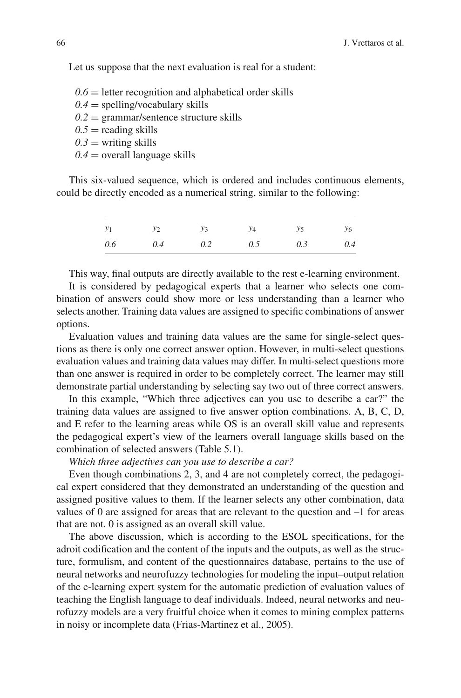Let us suppose that the next evaluation is real for a student:

 $0.6$  = letter recognition and alphabetical order skills  $0.4$  = spelling/vocabulary skills  $0.2$  = grammar/sentence structure skills  $0.5$  = reading skills  $0.3$  = writing skills  $0.4$  = overall language skills

This six-valued sequence, which is ordered and includes continuous elements, could be directly encoded as a numerical string, similar to the following:

| $y_1$ | $y_2$ | $y_3$ | $y_4$ | $y_5$ | У6  |
|-------|-------|-------|-------|-------|-----|
| 0.6   | 0.4   | 0.2   | 0.5   | 0.3   | 0.4 |

This way, final outputs are directly available to the rest e-learning environment.

It is considered by pedagogical experts that a learner who selects one combination of answers could show more or less understanding than a learner who selects another. Training data values are assigned to specific combinations of answer options.

Evaluation values and training data values are the same for single-select questions as there is only one correct answer option. However, in multi-select questions evaluation values and training data values may differ. In multi-select questions more than one answer is required in order to be completely correct. The learner may still demonstrate partial understanding by selecting say two out of three correct answers.

In this example, "Which three adjectives can you use to describe a car?" the training data values are assigned to five answer option combinations. A, B, C, D, and E refer to the learning areas while OS is an overall skill value and represents the pedagogical expert's view of the learners overall language skills based on the combination of selected answers (Table [5.1\)](#page-6-0).

*Which three adjectives can you use to describe a car?*

Even though combinations 2, 3, and 4 are not completely correct, the pedagogical expert considered that they demonstrated an understanding of the question and assigned positive values to them. If the learner selects any other combination, data values of 0 are assigned for areas that are relevant to the question and –1 for areas that are not. 0 is assigned as an overall skill value.

The above discussion, which is according to the ESOL specifications, for the adroit codification and the content of the inputs and the outputs, as well as the structure, formulism, and content of the questionnaires database, pertains to the use of neural networks and neurofuzzy technologies for modeling the input–output relation of the e-learning expert system for the automatic prediction of evaluation values of teaching the English language to deaf individuals. Indeed, neural networks and neurofuzzy models are a very fruitful choice when it comes to mining complex patterns in noisy or incomplete data (Frias-Martinez et al., [2005\)](#page-11-0).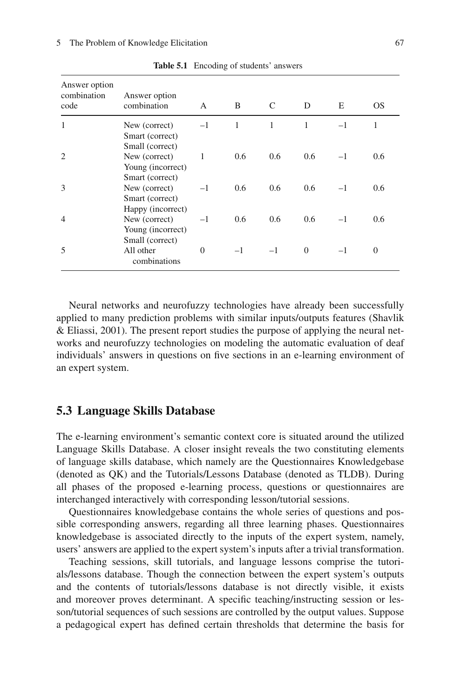| Answer option<br>combination<br>code | Answer option<br>combination                            | $\mathsf{A}$ | B    | C    | D             | E    | <b>OS</b> |
|--------------------------------------|---------------------------------------------------------|--------------|------|------|---------------|------|-----------|
| 1                                    | New (correct)<br>Smart (correct)                        | $-1$         | 1    | 1    | 1             | $-1$ | 1         |
| $\overline{2}$                       | Small (correct)<br>New (correct)<br>Young (incorrect)   | 1            | 0.6  | 0.6  | 0.6           | $-1$ | 0.6       |
| 3                                    | Smart (correct)<br>New (correct)<br>Smart (correct)     | $-1$         | 0.6  | 0.6  | 0.6           | $-1$ | 0.6       |
| $\overline{4}$                       | Happy (incorrect)<br>New (correct)<br>Young (incorrect) | $-1$         | 0.6  | 0.6  | $0.6^{\circ}$ | $-1$ | 0.6       |
| 5                                    | Small (correct)<br>All other<br>combinations            | $\theta$     | $-1$ | $-1$ | $\theta$      | $-1$ | $\Omega$  |

<span id="page-6-0"></span>**Table 5.1** Encoding of students' answers

Neural networks and neurofuzzy technologies have already been successfully applied to many prediction problems with similar inputs/outputs features (Shavlik  $&$  Eliassi, [2001\)](#page-12-6). The present report studies the purpose of applying the neural networks and neurofuzzy technologies on modeling the automatic evaluation of deaf individuals' answers in questions on five sections in an e-learning environment of an expert system.

#### **5.3 Language Skills Database**

The e-learning environment's semantic context core is situated around the utilized Language Skills Database. A closer insight reveals the two constituting elements of language skills database, which namely are the Questionnaires Knowledgebase (denoted as QK) and the Tutorials/Lessons Database (denoted as TLDB). During all phases of the proposed e-learning process, questions or questionnaires are interchanged interactively with corresponding lesson/tutorial sessions.

Questionnaires knowledgebase contains the whole series of questions and possible corresponding answers, regarding all three learning phases. Questionnaires knowledgebase is associated directly to the inputs of the expert system, namely, users' answers are applied to the expert system's inputs after a trivial transformation.

Teaching sessions, skill tutorials, and language lessons comprise the tutorials/lessons database. Though the connection between the expert system's outputs and the contents of tutorials/lessons database is not directly visible, it exists and moreover proves determinant. A specific teaching/instructing session or lesson/tutorial sequences of such sessions are controlled by the output values. Suppose a pedagogical expert has defined certain thresholds that determine the basis for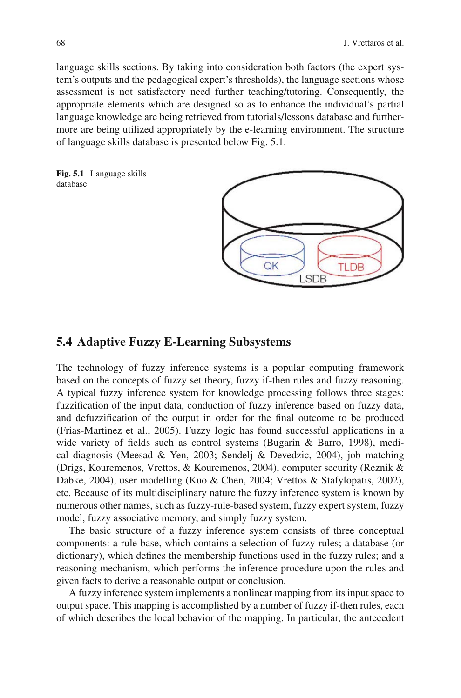language skills sections. By taking into consideration both factors (the expert system's outputs and the pedagogical expert's thresholds), the language sections whose assessment is not satisfactory need further teaching/tutoring. Consequently, the appropriate elements which are designed so as to enhance the individual's partial language knowledge are being retrieved from tutorials/lessons database and furthermore are being utilized appropriately by the e-learning environment. The structure of language skills database is presented below Fig. [5.1.](#page-7-0)

<span id="page-7-0"></span>



#### **5.4 Adaptive Fuzzy E-Learning Subsystems**

The technology of fuzzy inference systems is a popular computing framework based on the concepts of fuzzy set theory, fuzzy if-then rules and fuzzy reasoning. A typical fuzzy inference system for knowledge processing follows three stages: fuzzification of the input data, conduction of fuzzy inference based on fuzzy data, and defuzzification of the output in order for the final outcome to be produced (Frias-Martinez et al., [2005\)](#page-11-0). Fuzzy logic has found successful applications in a wide variety of fields such as control systems (Bugarin & Barro, [1998\)](#page-11-2), medical diagnosis (Meesad & Yen, [2003;](#page-12-7) Sendelj & Devedzic, [2004\)](#page-12-8), job matching (Drigs, Kouremenos, Vrettos, & Kouremenos, [2004\)](#page-11-3), computer security (Reznik & Dabke, [2004\)](#page-12-9), user modelling (Kuo & Chen, [2004;](#page-12-10) Vrettos & Stafylopatis, 2002), etc. Because of its multidisciplinary nature the fuzzy inference system is known by numerous other names, such as fuzzy-rule-based system, fuzzy expert system, fuzzy model, fuzzy associative memory, and simply fuzzy system.

The basic structure of a fuzzy inference system consists of three conceptual components: a rule base, which contains a selection of fuzzy rules; a database (or dictionary), which defines the membership functions used in the fuzzy rules; and a reasoning mechanism, which performs the inference procedure upon the rules and given facts to derive a reasonable output or conclusion.

A fuzzy inference system implements a nonlinear mapping from its input space to output space. This mapping is accomplished by a number of fuzzy if-then rules, each of which describes the local behavior of the mapping. In particular, the antecedent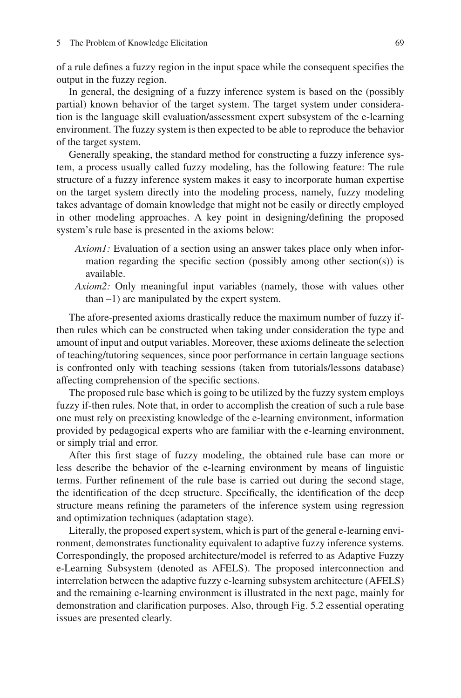of a rule defines a fuzzy region in the input space while the consequent specifies the output in the fuzzy region.

In general, the designing of a fuzzy inference system is based on the (possibly partial) known behavior of the target system. The target system under consideration is the language skill evaluation/assessment expert subsystem of the e-learning environment. The fuzzy system is then expected to be able to reproduce the behavior of the target system.

Generally speaking, the standard method for constructing a fuzzy inference system, a process usually called fuzzy modeling, has the following feature: The rule structure of a fuzzy inference system makes it easy to incorporate human expertise on the target system directly into the modeling process, namely, fuzzy modeling takes advantage of domain knowledge that might not be easily or directly employed in other modeling approaches. A key point in designing/defining the proposed system's rule base is presented in the axioms below:

- *Axiom1*: Evaluation of a section using an answer takes place only when information regarding the specific section (possibly among other section(s)) is available.
- *Axiom2:* Only meaningful input variables (namely, those with values other than –1) are manipulated by the expert system.

The afore-presented axioms drastically reduce the maximum number of fuzzy ifthen rules which can be constructed when taking under consideration the type and amount of input and output variables. Moreover, these axioms delineate the selection of teaching/tutoring sequences, since poor performance in certain language sections is confronted only with teaching sessions (taken from tutorials/lessons database) affecting comprehension of the specific sections.

The proposed rule base which is going to be utilized by the fuzzy system employs fuzzy if-then rules. Note that, in order to accomplish the creation of such a rule base one must rely on preexisting knowledge of the e-learning environment, information provided by pedagogical experts who are familiar with the e-learning environment, or simply trial and error.

After this first stage of fuzzy modeling, the obtained rule base can more or less describe the behavior of the e-learning environment by means of linguistic terms. Further refinement of the rule base is carried out during the second stage, the identification of the deep structure. Specifically, the identification of the deep structure means refining the parameters of the inference system using regression and optimization techniques (adaptation stage).

Literally, the proposed expert system, which is part of the general e-learning environment, demonstrates functionality equivalent to adaptive fuzzy inference systems. Correspondingly, the proposed architecture/model is referred to as Adaptive Fuzzy e-Learning Subsystem (denoted as AFELS). The proposed interconnection and interrelation between the adaptive fuzzy e-learning subsystem architecture (AFELS) and the remaining e-learning environment is illustrated in the next page, mainly for demonstration and clarification purposes. Also, through Fig. [5.2](#page-9-0) essential operating issues are presented clearly.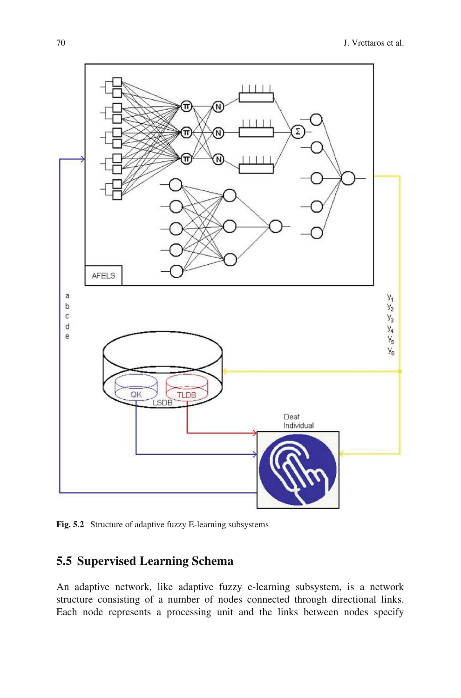<span id="page-9-0"></span>

**Fig. 5.2** Structure of adaptive fuzzy E-learning subsystems

# **5.5 Supervised Learning Schema**

An adaptive network, like adaptive fuzzy e-learning subsystem, is a network structure consisting of a number of nodes connected through directional links. Each node represents a processing unit and the links between nodes specify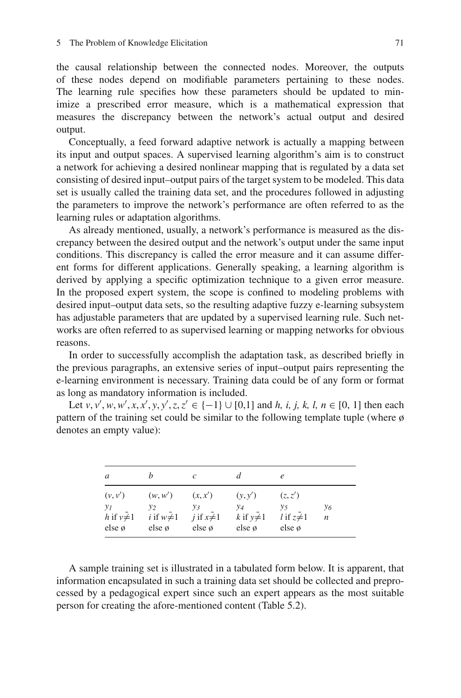the causal relationship between the connected nodes. Moreover, the outputs of these nodes depend on modifiable parameters pertaining to these nodes. The learning rule specifies how these parameters should be updated to minimize a prescribed error measure, which is a mathematical expression that measures the discrepancy between the network's actual output and desired output.

Conceptually, a feed forward adaptive network is actually a mapping between its input and output spaces. A supervised learning algorithm's aim is to construct a network for achieving a desired nonlinear mapping that is regulated by a data set consisting of desired input–output pairs of the target system to be modeled. This data set is usually called the training data set, and the procedures followed in adjusting the parameters to improve the network's performance are often referred to as the learning rules or adaptation algorithms.

As already mentioned, usually, a network's performance is measured as the discrepancy between the desired output and the network's output under the same input conditions. This discrepancy is called the error measure and it can assume different forms for different applications. Generally speaking, a learning algorithm is derived by applying a specific optimization technique to a given error measure. In the proposed expert system, the scope is confined to modeling problems with desired input–output data sets, so the resulting adaptive fuzzy e-learning subsystem has adjustable parameters that are updated by a supervised learning rule. Such networks are often referred to as supervised learning or mapping networks for obvious reasons.

In order to successfully accomplish the adaptation task, as described briefly in the previous paragraphs, an extensive series of input–output pairs representing the e-learning environment is necessary. Training data could be of any form or format as long as mandatory information is included.

Let *v*, *v'*, *w*, *w'*, *x*, *x'*, *y*, *y'*, *z*, *z'*  $\in$  {-1}  $\cup$  [0,1] and *h*, *i*, *j*, *k*, *l*, *n*  $\in$  [0, 1] then each pattern of the training set could be similar to the following template tuple (where  $\phi$ denotes an empty value):

| $\mathfrak a$                                             |                                                              | $\mathcal{C}$                                         |                                                               | e                                                            |                        |
|-----------------------------------------------------------|--------------------------------------------------------------|-------------------------------------------------------|---------------------------------------------------------------|--------------------------------------------------------------|------------------------|
| (v, v')<br>$y_1$<br>h if $v \neq 1$<br>else $\varnothing$ | (w, w')<br>$y_2$<br><i>i</i> if $w \neq 1$<br>else $\varphi$ | (x, x')<br>$y_3$<br>j if $x \tilde{\neq} 1$<br>else ø | (y, y')<br>$y_4$<br>k if $y \tilde{\neq} 1$<br>else $\varphi$ | (z, z')<br>v <sub>5</sub><br>l if $z\tilde{\neq}1$<br>else ø | У6<br>$\boldsymbol{n}$ |

A sample training set is illustrated in a tabulated form below. It is apparent, that information encapsulated in such a training data set should be collected and preprocessed by a pedagogical expert since such an expert appears as the most suitable person for creating the afore-mentioned content (Table [5.2\)](#page-11-4).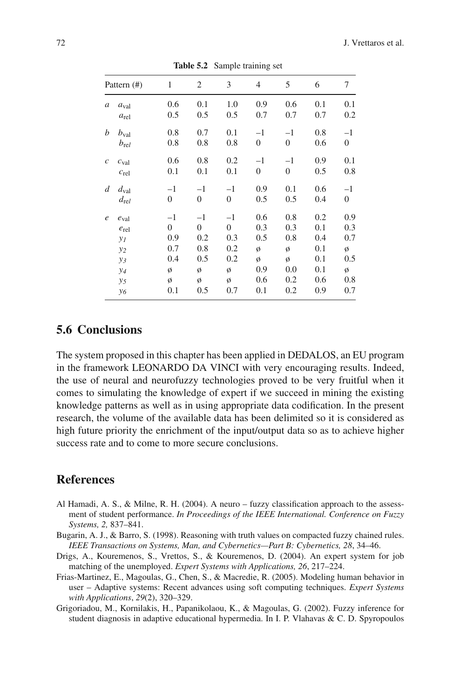|                  | Pattern (#)      | 1    | 2                | 3                | 4                | 5                | 6   | 7                |
|------------------|------------------|------|------------------|------------------|------------------|------------------|-----|------------------|
| a                | a <sub>val</sub> | 0.6  | 0.1              | 1.0              | 0.9              | 0.6              | 0.1 | 0.1              |
|                  | $a_{rel}$        | 0.5  | 0.5              | 0.5              | 0.7              | 0.7              | 0.7 | 0.2              |
| b                | $b_{\text{val}}$ | 0.8  | 0.7              | 0.1              | $-1$             | $^{-1}$          | 0.8 | $-1$             |
|                  | $b_{rel}$        | 0.8  | 0.8              | 0.8              | $\boldsymbol{0}$ | $\boldsymbol{0}$ | 0.6 | $\boldsymbol{0}$ |
| $\boldsymbol{c}$ | c <sub>val</sub> | 0.6  | 0.8              | 0.2              | $-1$             | $^{-1}$          | 0.9 | 0.1              |
|                  | $c_{rel}$        | 0.1  | 0.1              | 0.1              | $\boldsymbol{0}$ | 0                | 0.5 | 0.8              |
| $\boldsymbol{d}$ | $d_{\text{val}}$ | $-1$ | $^{-1}$          | $-1$             | 0.9              | 0.1              | 0.6 | $-1$             |
|                  | $d_{rel}$        | 0    | 0                | $\boldsymbol{0}$ | 0.5              | 0.5              | 0.4 | 0                |
| $\epsilon$       | $e_{\text{val}}$ | $-1$ | $-1$             | $-1$             | 0.6              | 0.8              | 0.2 | 0.9              |
|                  | $e_{rel}$        | 0    | $\boldsymbol{0}$ | $\boldsymbol{0}$ | 0.3              | 0.3              | 0.1 | 0.3              |
|                  | $y_I$            | 0.9  | 0.2              | 0.3              | 0.5              | 0.8              | 0.4 | 0.7              |
|                  | $y_2$            | 0.7  | 0.8              | 0.2              | ø                | ø                | 0.1 | ø                |
|                  | $y_3$            | 0.4  | 0.5              | 0.2              | ø                | ø                | 0.1 | 0.5              |
|                  | $y_4$            | ø    | ø                | ø                | 0.9              | 0.0              | 0.1 | ø                |
|                  | $y_5$            | ø    | ø                | ø                | 0.6              | 0.2              | 0.6 | 0.8              |
|                  | $y_6$            | 0.1  | 0.5              | 0.7              | 0.1              | 0.2              | 0.9 | 0.7              |

<span id="page-11-4"></span>**Table 5.2** Sample training set

## **5.6 Conclusions**

The system proposed in this chapter has been applied in DEDALOS, an EU program in the framework LEONARDO DA VINCI with very encouraging results. Indeed, the use of neural and neurofuzzy technologies proved to be very fruitful when it comes to simulating the knowledge of expert if we succeed in mining the existing knowledge patterns as well as in using appropriate data codification. In the present research, the volume of the available data has been delimited so it is considered as high future priority the enrichment of the input/output data so as to achieve higher success rate and to come to more secure conclusions.

#### **References**

- Al Hamadi, A. S., & Milne, R. H. (2004). A neuro fuzzy classification approach to the assessment of student performance. *In Proceedings of the IEEE International. Conference on Fuzzy Systems, 2,* 837–841.
- <span id="page-11-1"></span>Bugarin, A. J., & Barro, S. (1998). Reasoning with truth values on compacted fuzzy chained rules. *IEEE Transactions on Systems, Man, and Cybernetics—Part B: Cybernetics, 28*, 34–46.
- <span id="page-11-2"></span>Drigs, A., Kouremenos, S., Vrettos, S., & Kouremenos, D. (2004). An expert system for job matching of the unemployed. *Expert Systems with Applications, 26*, 217–224.
- <span id="page-11-3"></span>Frias-Martinez, E., Magoulas, G., Chen, S., & Macredie, R. (2005). Modeling human behavior in user – Adaptive systems: Recent advances using soft computing techniques. *Expert Systems with Applications*, *29*(2), 320–329.
- <span id="page-11-0"></span>Grigoriadou, M., Kornilakis, H., Papanikolaou, K., & Magoulas, G. (2002). Fuzzy inference for student diagnosis in adaptive educational hypermedia. In I. P. Vlahavas & C. D. Spyropoulos